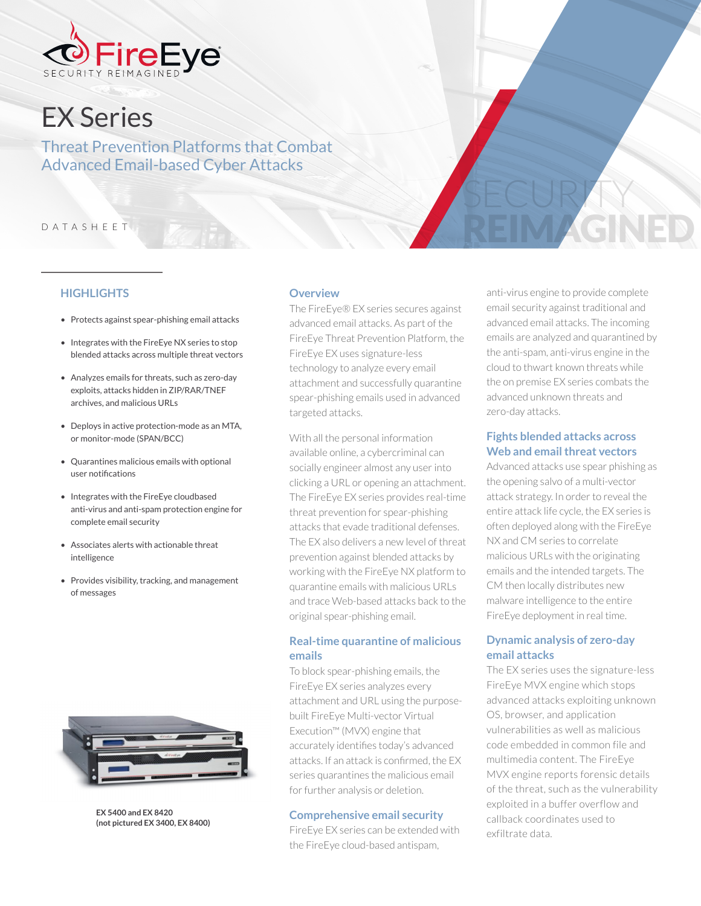

# EX Series

Threat Prevention Platforms that Combat Advanced Email-based Cyber Attacks

#### DATASHEET

#### **HIGHLIGHTS**

- Protects against spear-phishing email attacks
- Integrates with the FireEye NX series to stop blended attacks across multiple threat vectors
- Analyzes emails for threats, such as zero-day exploits, attacks hidden in ZIP/RAR/TNEF archives, and malicious URLs
- Deploys in active protection-mode as an MTA, or monitor-mode (SPAN/BCC)
- Quarantines malicious emails with optional user notifications
- Integrates with the FireEye cloudbased anti-virus and anti-spam protection engine for complete email security
- Associates alerts with actionable threat intelligence
- Provides visibility, tracking, and management of messages



**EX 5400 and EX 8420 (not pictured EX 3400, EX 8400)**

#### **Overview**

The FireEye® EX series secures against advanced email attacks. As part of the FireEye Threat Prevention Platform, the FireEye EX uses signature-less technology to analyze every email attachment and successfully quarantine spear-phishing emails used in advanced targeted attacks.

With all the personal information available online, a cybercriminal can socially engineer almost any user into clicking a URL or opening an attachment. The FireEye EX series provides real-time threat prevention for spear-phishing attacks that evade traditional defenses. The EX also delivers a new level of threat prevention against blended attacks by working with the FireEye NX platform to quarantine emails with malicious URLs and trace Web-based attacks back to the original spear-phishing email.

## **Real-time quarantine of malicious emails**

To block spear-phishing emails, the FireEye EX series analyzes every attachment and URL using the purposebuilt FireEye Multi-vector Virtual Execution™ (MVX) engine that accurately identifies today's advanced attacks. If an attack is confirmed, the EX series quarantines the malicious email for further analysis or deletion.

#### **Comprehensive email security**

FireEye EX series can be extended with the FireEye cloud-based antispam,

anti-virus engine to provide complete email security against traditional and advanced email attacks. The incoming emails are analyzed and quarantined by the anti-spam, anti-virus engine in the cloud to thwart known threats while the on premise EX series combats the advanced unknown threats and zero-day attacks.

REIM AGNED

SECURITY

#### **Fights blended attacks across Web and email threat vectors**

Advanced attacks use spear phishing as the opening salvo of a multi-vector attack strategy. In order to reveal the entire attack life cycle, the EX series is often deployed along with the FireEye NX and CM series to correlate malicious URLs with the originating emails and the intended targets. The CM then locally distributes new malware intelligence to the entire FireEye deployment in real time.

# **Dynamic analysis of zero-day email attacks**

The EX series uses the signature-less FireEye MVX engine which stops advanced attacks exploiting unknown OS, browser, and application vulnerabilities as well as malicious code embedded in common file and multimedia content. The FireEye MVX engine reports forensic details of the threat, such as the vulnerability exploited in a buffer overflow and callback coordinates used to exfiltrate data.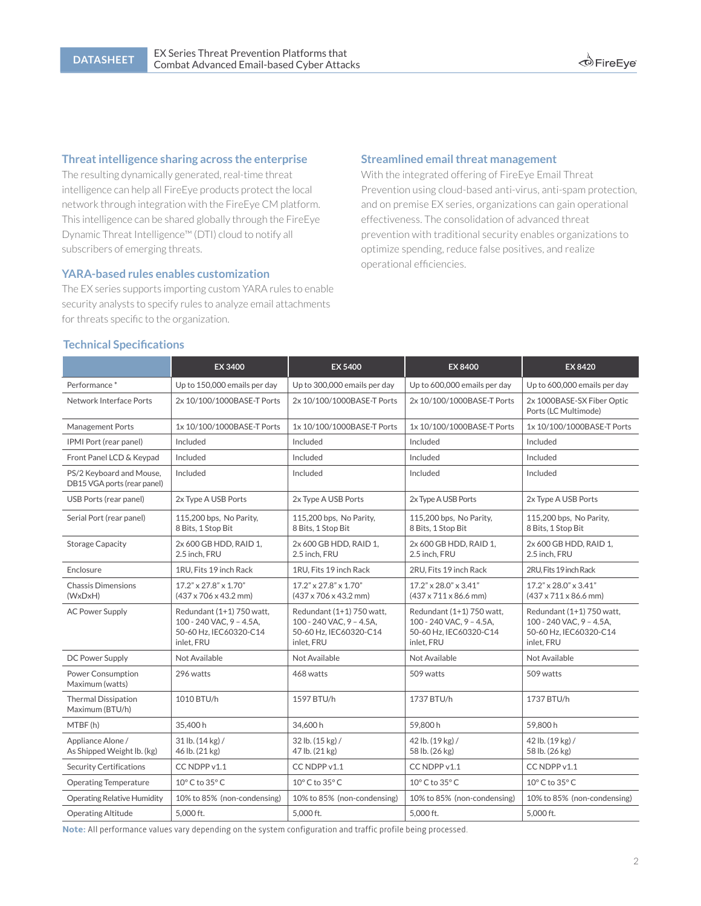## **Threat intelligence sharing across the enterprise**

The resulting dynamically generated, real-time threat intelligence can help all FireEye products protect the local network through integration with the FireEye CM platform. This intelligence can be shared globally through the FireEye Dynamic Threat Intelligence™ (DTI) cloud to notify all subscribers of emerging threats.

#### **YARA-based rules enables customization**

The EX series supports importing custom YARA rules to enable security analysts to specify rules to analyze email attachments for threats specific to the organization.

#### **Streamlined email threat management**

With the integrated offering of FireEye Email Threat Prevention using cloud-based anti-virus, anti-spam protection, and on premise EX series, organizations can gain operational effectiveness. The consolidation of advanced threat prevention with traditional security enables organizations to optimize spending, reduce false positives, and realize operational efficiencies.

#### **Technical Specifications**

|                                                         | EX 3400                                                                                       | EX 5400                                                                                       | EX 8400                                                                                       | EX 8420                                                                                       |
|---------------------------------------------------------|-----------------------------------------------------------------------------------------------|-----------------------------------------------------------------------------------------------|-----------------------------------------------------------------------------------------------|-----------------------------------------------------------------------------------------------|
| Performance*                                            | Up to 150,000 emails per day                                                                  | Up to 300,000 emails per day                                                                  | Up to 600,000 emails per day                                                                  | Up to 600,000 emails per day                                                                  |
| Network Interface Ports                                 | 2x 10/100/1000BASE-T Ports                                                                    | 2x 10/100/1000BASE-T Ports                                                                    | 2x 10/100/1000BASE-T Ports                                                                    | 2x 1000BASE-SX Fiber Optic<br>Ports (LC Multimode)                                            |
| <b>Management Ports</b>                                 | 1x 10/100/1000BASE-T Ports                                                                    | 1x 10/100/1000BASE-T Ports                                                                    | 1x 10/100/1000BASE-T Ports                                                                    | 1x 10/100/1000BASE-T Ports                                                                    |
| IPMI Port (rear panel)                                  | Included                                                                                      | Included                                                                                      | Included                                                                                      | Included                                                                                      |
| Front Panel LCD & Keypad                                | Included                                                                                      | Included                                                                                      | Included                                                                                      | Included                                                                                      |
| PS/2 Keyboard and Mouse,<br>DB15 VGA ports (rear panel) | Included                                                                                      | Included                                                                                      | Included                                                                                      | Included                                                                                      |
| USB Ports (rear panel)                                  | 2x Type A USB Ports                                                                           | 2x Type A USB Ports                                                                           | 2x Type A USB Ports                                                                           | 2x Type A USB Ports                                                                           |
| Serial Port (rear panel)                                | 115,200 bps, No Parity,<br>8 Bits, 1 Stop Bit                                                 | 115,200 bps, No Parity,<br>8 Bits, 1 Stop Bit                                                 | 115,200 bps, No Parity,<br>8 Bits, 1 Stop Bit                                                 | 115,200 bps, No Parity,<br>8 Bits, 1 Stop Bit                                                 |
| <b>Storage Capacity</b>                                 | 2x 600 GB HDD, RAID 1,<br>2.5 inch, FRU                                                       | 2x 600 GB HDD, RAID 1,<br>2.5 inch, FRU                                                       | 2x 600 GB HDD, RAID 1,<br>2.5 inch, FRU                                                       | 2x 600 GB HDD, RAID 1,<br>2.5 inch, FRU                                                       |
| Enclosure                                               | 1RU. Fits 19 inch Rack                                                                        | 1RU. Fits 19 inch Rack                                                                        | 2RU. Fits 19 inch Rack                                                                        | 2RU. Fits 19 inch Rack                                                                        |
| <b>Chassis Dimensions</b><br>(WxDxH)                    | $17.2" \times 27.8" \times 1.70"$<br>$(437 \times 706 \times 43.2 \text{ mm})$                | 17.2" x 27.8" x 1.70"<br>$(437 \times 706 \times 43.2 \text{ mm})$                            | $17.2" \times 28.0" \times 3.41"$<br>$(437 \times 711 \times 86.6$ mm)                        | $17.2" \times 28.0" \times 3.41"$<br>$(437 \times 711 \times 86.6$ mm)                        |
| <b>AC Power Supply</b>                                  | Redundant (1+1) 750 watt,<br>100 - 240 VAC, 9 - 4.5A,<br>50-60 Hz. IEC60320-C14<br>inlet, FRU | Redundant (1+1) 750 watt,<br>100 - 240 VAC, 9 - 4.5A.<br>50-60 Hz. IEC60320-C14<br>inlet, FRU | Redundant (1+1) 750 watt,<br>100 - 240 VAC, 9 - 4.5A.<br>50-60 Hz, IEC60320-C14<br>inlet, FRU | Redundant (1+1) 750 watt,<br>100 - 240 VAC. 9 - 4.5A.<br>50-60 Hz. IEC60320-C14<br>inlet, FRU |
| DC Power Supply                                         | Not Available                                                                                 | Not Available                                                                                 | Not Available                                                                                 | Not Available                                                                                 |
| <b>Power Consumption</b><br>Maximum (watts)             | 296 watts                                                                                     | 468 watts                                                                                     | 509 watts                                                                                     | 509 watts                                                                                     |
| <b>Thermal Dissipation</b><br>Maximum (BTU/h)           | 1010 BTU/h                                                                                    | 1597 BTU/h                                                                                    | 1737 BTU/h                                                                                    | 1737 BTU/h                                                                                    |
| MTBF(h)                                                 | 35,400 h                                                                                      | 34,600 h                                                                                      | 59.800 h                                                                                      | 59.800h                                                                                       |
| Appliance Alone /<br>As Shipped Weight Ib. (kg)         | $31$ lb. $(14$ kg $)/$<br>46 lb. (21 kg)                                                      | 32 lb. (15 kg) /<br>47 lb. (21 kg)                                                            | 42 lb. (19 kg) /<br>58 lb. (26 kg)                                                            | 42 lb. (19 kg) /<br>58 lb. (26 kg)                                                            |
| <b>Security Certifications</b>                          | CC NDPP v1.1                                                                                  | CC NDPP v1.1                                                                                  | CC NDPP v1.1                                                                                  | CC NDPP v1.1                                                                                  |
| <b>Operating Temperature</b>                            | $10^{\circ}$ C to $35^{\circ}$ C                                                              | $10^{\circ}$ C to $35^{\circ}$ C                                                              | 10° C to 35° C                                                                                | $10^{\circ}$ C to $35^{\circ}$ C                                                              |
| Operating Relative Humidity                             | 10% to 85% (non-condensing)                                                                   | 10% to 85% (non-condensing)                                                                   | 10% to 85% (non-condensing)                                                                   | 10% to 85% (non-condensing)                                                                   |
| <b>Operating Altitude</b>                               | 5.000 ft.                                                                                     | 5.000 ft.                                                                                     | 5.000 ft.                                                                                     | 5.000 ft.                                                                                     |

**Note:** All performance values vary depending on the system configuration and traffic profile being processed.